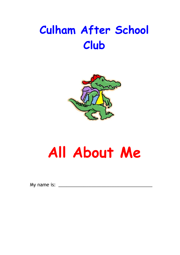## **Culham After School Club**



# **All About Me**

My name is: \_\_\_\_\_\_\_\_\_\_\_\_\_\_\_\_\_\_\_\_\_\_\_\_\_\_\_\_\_\_\_\_\_\_\_\_\_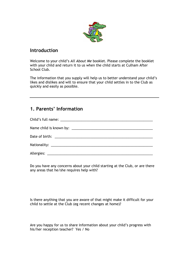

#### **Introduction**

Welcome to your child's *All About Me* booklet. Please complete the booklet with your child and return it to us when the child starts at Culham After School Club.

The information that you supply will help us to better understand your child's likes and dislikes and will to ensure that your child settles in to the Club as quickly and easily as possible.

#### **1. Parents' Information**

Do you have any concerns about your child starting at the Club, or are there any areas that he/she requires help with?

Is there anything that you are aware of that might make it difficult for your child to settle at the Club (eg recent changes at home)?

Are you happy for us to share information about your child's progress with his/her reception teacher? Yes / No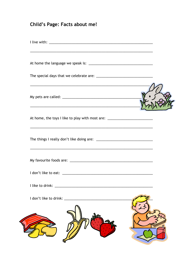### Child's Page: Facts about me!

| <u> 1989 - Johann John Harry Harry Harry Harry Harry Harry Harry Harry Harry Harry Harry Harry Harry Harry Harry</u> |  |
|----------------------------------------------------------------------------------------------------------------------|--|
|                                                                                                                      |  |
|                                                                                                                      |  |
|                                                                                                                      |  |
| At home, the toys I like to play with most are: ________________________________                                     |  |
|                                                                                                                      |  |
|                                                                                                                      |  |
| I don't like to eat:                                                                                                 |  |
|                                                                                                                      |  |
|                                                                                                                      |  |
|                                                                                                                      |  |